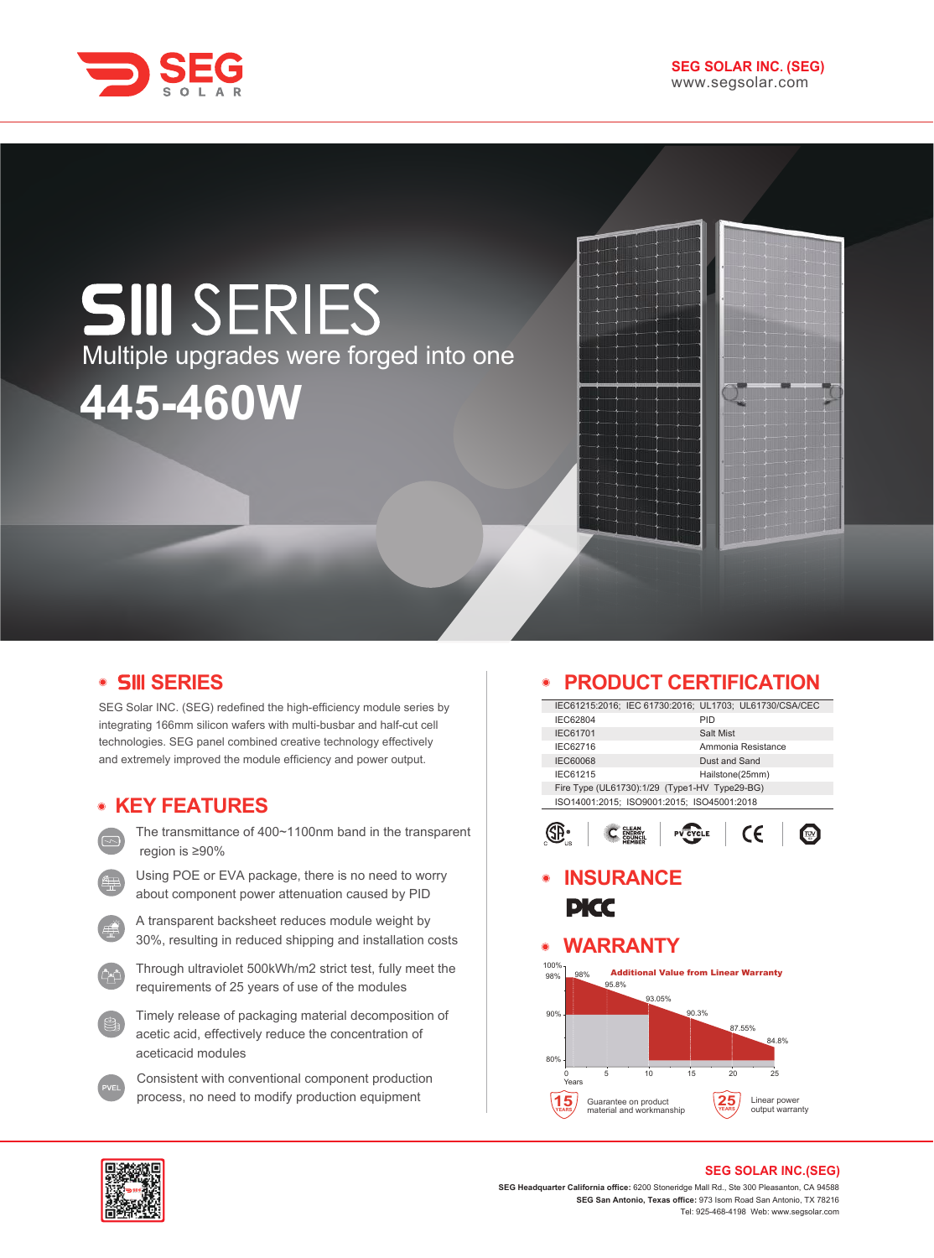

# **SIII SERIES** Multiple upgrades were forged into one **445-460W**



SEG Solar INC. (SEG) redefined the high-efficiency module series by integrating 166mm silicon wafers with multi-busbar and half-cut cell technologies. SEG panel combined creative technology effectively and extremely improved the module efficiency and power output.

# **KEY FEATURES**

- The transmittance of 400~1100nm band in the transparent region is ≥90%
- Using POE or EVA package, there is no need to worry about component power attenuation caused by PID
- A transparent backsheet reduces module weight by 30%, resulting in reduced shipping and installation costs
- Through ultraviolet 500kWh/m2 strict test, fully meet the requirements of 25 years of use of the modules
- Timely release of packaging material decomposition of acetic acid, effectively reduce the concentration of aceticacid modules
- Consistent with conventional component production process, no need to modify production equipment

# **PRODUCT CERTIFICATION**

| IEC61215:2016; IEC 61730:2016; UL1703; UL61730/CSA/CEC |                 |                    |  |  |
|--------------------------------------------------------|-----------------|--------------------|--|--|
| IEC62804                                               |                 | PID                |  |  |
| <b>IEC61701</b>                                        |                 | Salt Mist          |  |  |
| IEC62716                                               |                 | Ammonia Resistance |  |  |
| <b>IEC60068</b>                                        | Dust and Sand   |                    |  |  |
| IEC61215                                               | Hailstone(25mm) |                    |  |  |
| Fire Type (UL61730):1/29 (Type1-HV Type29-BG)          |                 |                    |  |  |
| ISO14001:2015; ISO9001:2015; ISO45001:2018             |                 |                    |  |  |
|                                                        |                 |                    |  |  |
|                                                        | CLEAT           |                    |  |  |
|                                                        |                 |                    |  |  |

# **INSURANCE PICC**

#### **WARRANTY**  $\bullet$





#### **SEG SOLAR INC.(SEG)**

**SEG Headquarter California office:** 6200 Stoneridge Mall Rd., Ste 300 Pleasanton, CA 94588 **SEG San Antonio, Texas office:** 973 Isom Road San Antonio, TX 78216 Tel: 925-468-4198 Web: www.segsolar.com